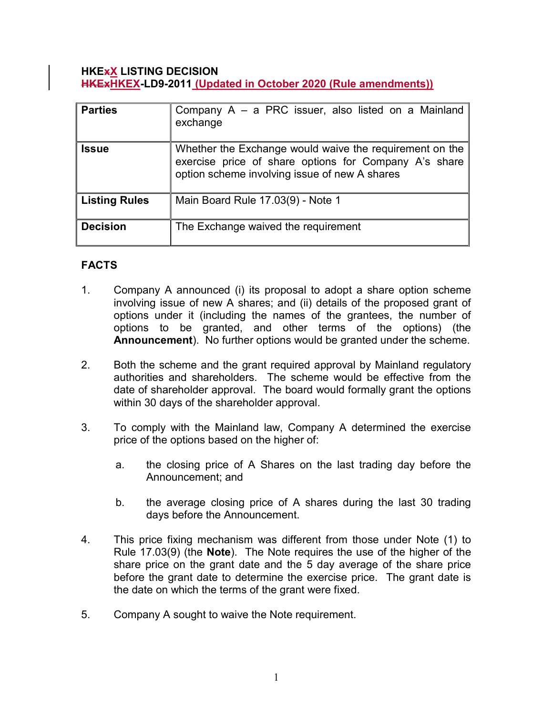#### HKExX LISTING DECISION HKExHKEX-LD9-2011 (Updated in October 2020 (Rule amendments))

| <b>Parties</b>  | Company A – a PRC issuer, also listed on a Mainland<br>exchange                                                                                                   |
|-----------------|-------------------------------------------------------------------------------------------------------------------------------------------------------------------|
| <b>Issue</b>    | Whether the Exchange would waive the requirement on the<br>exercise price of share options for Company A's share<br>option scheme involving issue of new A shares |
| Listing Rules   | Main Board Rule 17.03(9) - Note 1                                                                                                                                 |
| <b>Decision</b> | The Exchange waived the requirement                                                                                                                               |

# FACTS

- 1. Company A announced (i) its proposal to adopt a share option scheme involving issue of new A shares; and (ii) details of the proposed grant of options under it (including the names of the grantees, the number of options to be granted, and other terms of the options) (the Announcement). No further options would be granted under the scheme.
- 2. Both the scheme and the grant required approval by Mainland regulatory authorities and shareholders. The scheme would be effective from the date of shareholder approval. The board would formally grant the options within 30 days of the shareholder approval.
- 3. To comply with the Mainland law, Company A determined the exercise price of the options based on the higher of:
	- a. the closing price of A Shares on the last trading day before the Announcement; and
	- b. the average closing price of A shares during the last 30 trading days before the Announcement.
- 4. This price fixing mechanism was different from those under Note (1) to Rule 17.03(9) (the Note). The Note requires the use of the higher of the share price on the grant date and the 5 day average of the share price before the grant date to determine the exercise price. The grant date is the date on which the terms of the grant were fixed.
- 5. Company A sought to waive the Note requirement.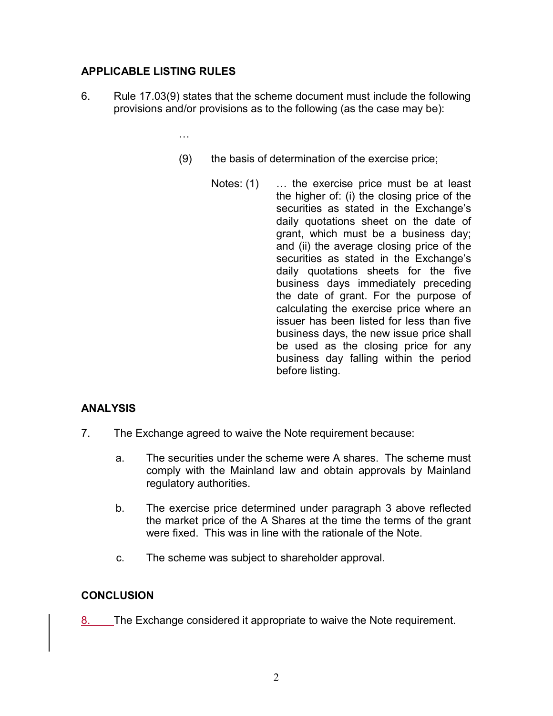## APPLICABLE LISTING RULES

6. Rule 17.03(9) states that the scheme document must include the following provisions and/or provisions as to the following (as the case may be):

…

- (9) the basis of determination of the exercise price;
	- Notes: (1) ... the exercise price must be at least the higher of: (i) the closing price of the securities as stated in the Exchange's daily quotations sheet on the date of grant, which must be a business day; and (ii) the average closing price of the securities as stated in the Exchange's daily quotations sheets for the five business days immediately preceding the date of grant. For the purpose of calculating the exercise price where an issuer has been listed for less than five business days, the new issue price shall be used as the closing price for any business day falling within the period before listing.

## ANALYSIS

- 7. The Exchange agreed to waive the Note requirement because:
	- a. The securities under the scheme were A shares. The scheme must comply with the Mainland law and obtain approvals by Mainland regulatory authorities.
	- b. The exercise price determined under paragraph 3 above reflected the market price of the A Shares at the time the terms of the grant were fixed. This was in line with the rationale of the Note.
	- c. The scheme was subject to shareholder approval.

### **CONCLUSION**

8. The Exchange considered it appropriate to waive the Note requirement.